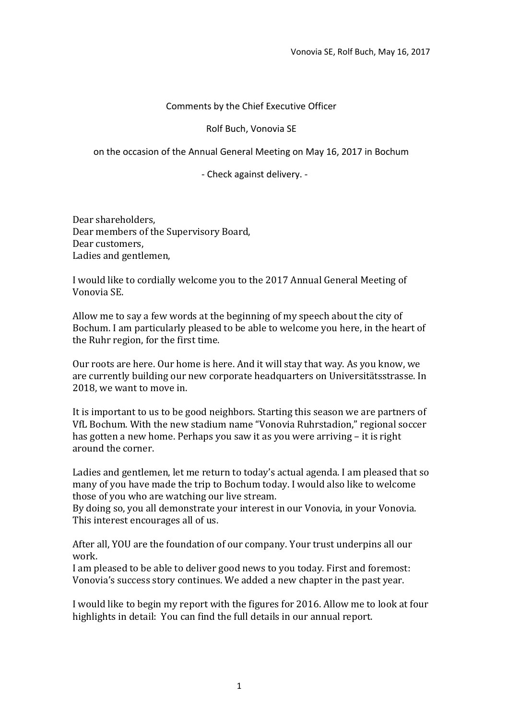## Comments by the Chief Executive Officer

Rolf Buch, Vonovia SE

on the occasion of the Annual General Meeting on May 16, 2017 in Bochum

- Check against delivery. -

Dear shareholders, Dear members of the Supervisory Board, Dear customers, Ladies and gentlemen,

I would like to cordially welcome you to the 2017 Annual General Meeting of Vonovia SE.

Allow me to say a few words at the beginning of my speech about the city of Bochum. I am particularly pleased to be able to welcome you here, in the heart of the Ruhr region, for the first time.

Our roots are here. Our home is here. And it will stay that way. As you know, we are currently building our new corporate headquarters on Universitätsstrasse. In 2018, we want to move in.

It is important to us to be good neighbors. Starting this season we are partners of VfL Bochum. With the new stadium name "Vonovia Ruhrstadion," regional soccer has gotten a new home. Perhaps you saw it as you were arriving – it is right around the corner.

Ladies and gentlemen, let me return to today's actual agenda. I am pleased that so many of you have made the trip to Bochum today. I would also like to welcome those of you who are watching our live stream.

By doing so, you all demonstrate your interest in our Vonovia, in your Vonovia. This interest encourages all of us.

After all, YOU are the foundation of our company. Your trust underpins all our work.

I am pleased to be able to deliver good news to you today. First and foremost: Vonovia's success story continues. We added a new chapter in the past year.

I would like to begin my report with the figures for 2016. Allow me to look at four highlights in detail: You can find the full details in our annual report.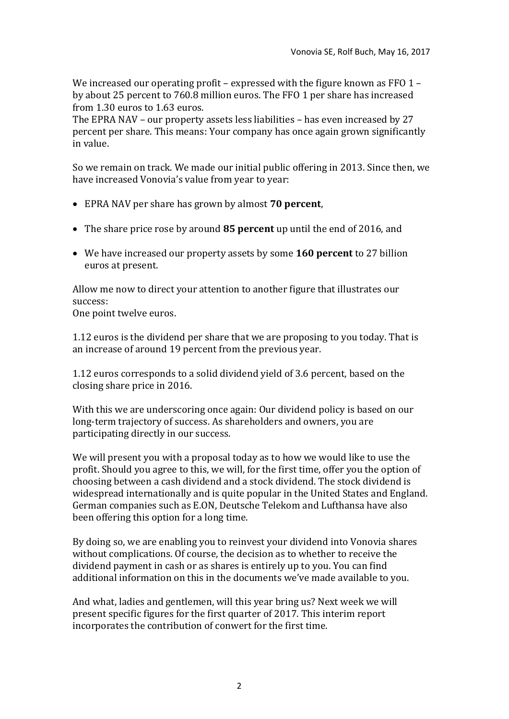We increased our operating profit – expressed with the figure known as  $FFO 1$ by about 25 percent to 760.8 million euros. The FFO 1 per share has increased from 1.30 euros to 1.63 euros.

The EPRA NAV – our property assets less liabilities – has even increased by 27 percent per share. This means: Your company has once again grown significantly in value.

So we remain on track. We made our initial public offering in 2013. Since then, we have increased Vonovia's value from year to year:

- EPRA NAV per share has grown by almost **70 percent**,
- The share price rose by around **85 percent** up until the end of 2016, and
- We have increased our property assets by some **160 percent** to 27 billion euros at present.

Allow me now to direct your attention to another figure that illustrates our success: One point twelve euros.

1.12 euros is the dividend per share that we are proposing to you today. That is an increase of around 19 percent from the previous year.

1.12 euros corresponds to a solid dividend yield of 3.6 percent, based on the closing share price in 2016.

With this we are underscoring once again: Our dividend policy is based on our long-term trajectory of success. As shareholders and owners, you are participating directly in our success.

We will present you with a proposal today as to how we would like to use the profit. Should you agree to this, we will, for the first time, offer you the option of choosing between a cash dividend and a stock dividend. The stock dividend is widespread internationally and is quite popular in the United States and England. German companies such as E.ON, Deutsche Telekom and Lufthansa have also been offering this option for a long time.

By doing so, we are enabling you to reinvest your dividend into Vonovia shares without complications. Of course, the decision as to whether to receive the dividend payment in cash or as shares is entirely up to you. You can find additional information on this in the documents we've made available to you.

And what, ladies and gentlemen, will this year bring us? Next week we will present specific figures for the first quarter of 2017. This interim report incorporates the contribution of conwert for the first time.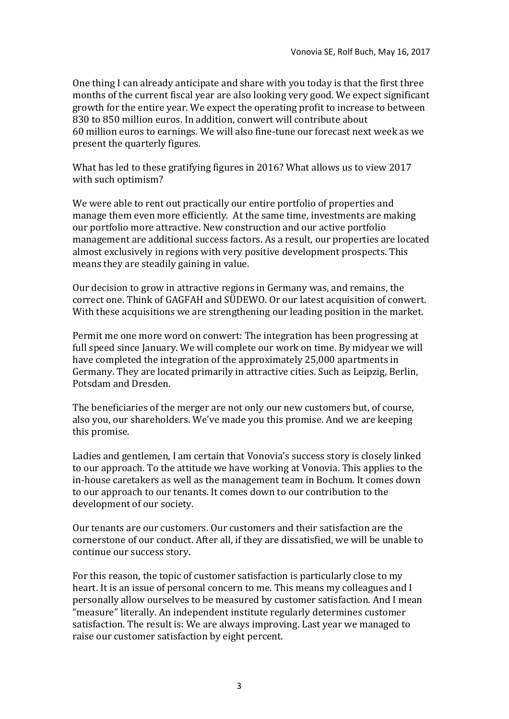One thing I can already anticipate and share with you today is that the first three months of the current fiscal year are also looking very good. We expect significant growth for the entire year. We expect the operating profit to increase to between 830 to 850 million euros. In addition, conwert will contribute about 60 million euros to earnings. We will also fine-tune our forecast next week as we present the quarterly figures.

What has led to these gratifying figures in 2016? What allows us to view 2017 with such optimism?

We were able to rent out practically our entire portfolio of properties and manage them even more efficiently. At the same time, investments are making our portfolio more attractive. New construction and our active portfolio management are additional success factors. As a result, our properties are located almost exclusively in regions with very positive development prospects. This means they are steadily gaining in value.

Our decision to grow in attractive regions in Germany was, and remains, the correct one. Think of GAGFAH and SÜDEWO. Or our latest acquisition of conwert. With these acquisitions we are strengthening our leading position in the market.

Permit me one more word on conwert: The integration has been progressing at full speed since January. We will complete our work on time. By midyear we will have completed the integration of the approximately 25,000 apartments in Germany. They are located primarily in attractive cities. Such as Leipzig, Berlin, Potsdam and Dresden.

The beneficiaries of the merger are not only our new customers but, of course, also you, our shareholders. We've made you this promise. And we are keeping this promise.

Ladies and gentlemen, I am certain that Vonovia's success story is closely linked to our approach. To the attitude we have working at Vonovia. This applies to the in-house caretakers as well as the management team in Bochum. It comes down to our approach to our tenants. It comes down to our contribution to the development of our society.

Our tenants are our customers. Our customers and their satisfaction are the cornerstone of our conduct. After all, if they are dissatisfied, we will be unable to continue our success story.

For this reason, the topic of customer satisfaction is particularly close to my heart. It is an issue of personal concern to me. This means my colleagues and I personally allow ourselves to be measured by customer satisfaction. And I mean "measure" literally. An independent institute regularly determines customer satisfaction. The result is: We are always improving. Last year we managed to raise our customer satisfaction by eight percent.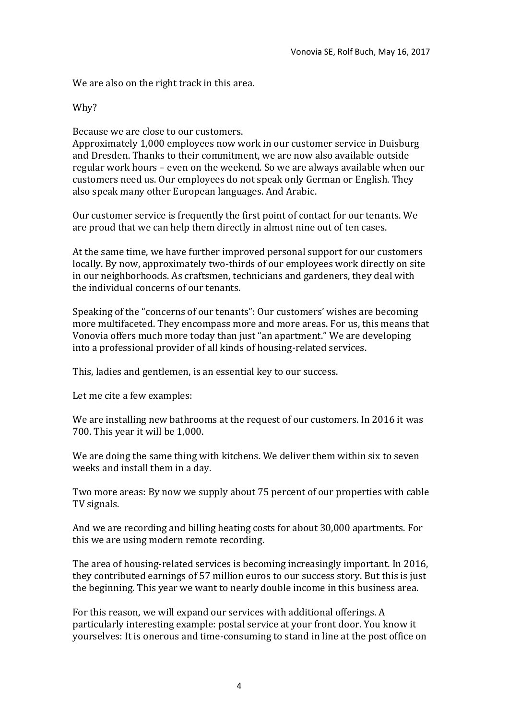We are also on the right track in this area.

Why?

Because we are close to our customers.

Approximately 1,000 employees now work in our customer service in Duisburg and Dresden. Thanks to their commitment, we are now also available outside regular work hours – even on the weekend. So we are always available when our customers need us. Our employees do not speak only German or English. They also speak many other European languages. And Arabic.

Our customer service is frequently the first point of contact for our tenants. We are proud that we can help them directly in almost nine out of ten cases.

At the same time, we have further improved personal support for our customers locally. By now, approximately two-thirds of our employees work directly on site in our neighborhoods. As craftsmen, technicians and gardeners, they deal with the individual concerns of our tenants.

Speaking of the "concerns of our tenants": Our customers' wishes are becoming more multifaceted. They encompass more and more areas. For us, this means that Vonovia offers much more today than just "an apartment." We are developing into a professional provider of all kinds of housing-related services.

This, ladies and gentlemen, is an essential key to our success.

Let me cite a few examples:

We are installing new bathrooms at the request of our customers. In 2016 it was 700. This year it will be 1,000.

We are doing the same thing with kitchens. We deliver them within six to seven weeks and install them in a day.

Two more areas: By now we supply about 75 percent of our properties with cable TV signals.

And we are recording and billing heating costs for about 30,000 apartments. For this we are using modern remote recording.

The area of housing-related services is becoming increasingly important. In 2016, they contributed earnings of 57 million euros to our success story. But this is just the beginning. This year we want to nearly double income in this business area.

For this reason, we will expand our services with additional offerings. A particularly interesting example: postal service at your front door. You know it yourselves: It is onerous and time-consuming to stand in line at the post office on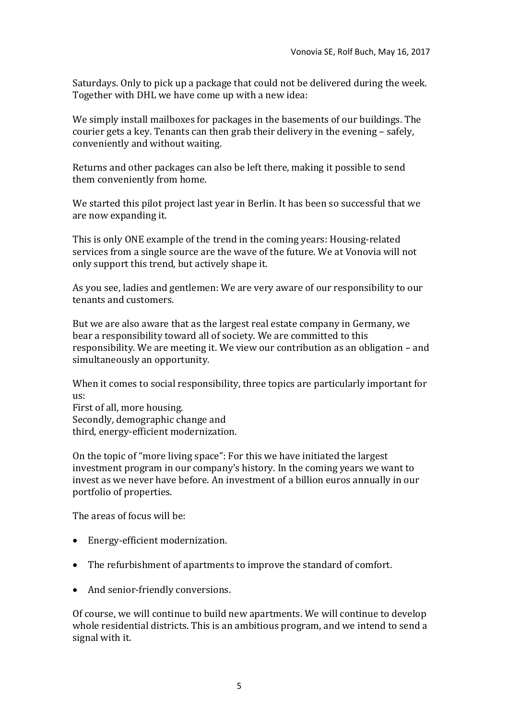Saturdays. Only to pick up a package that could not be delivered during the week. Together with DHL we have come up with a new idea:

We simply install mailboxes for packages in the basements of our buildings. The courier gets a key. Tenants can then grab their delivery in the evening – safely, conveniently and without waiting.

Returns and other packages can also be left there, making it possible to send them conveniently from home.

We started this pilot project last year in Berlin. It has been so successful that we are now expanding it.

This is only ONE example of the trend in the coming years: Housing-related services from a single source are the wave of the future. We at Vonovia will not only support this trend, but actively shape it.

As you see, ladies and gentlemen: We are very aware of our responsibility to our tenants and customers.

But we are also aware that as the largest real estate company in Germany, we bear a responsibility toward all of society. We are committed to this responsibility. We are meeting it. We view our contribution as an obligation – and simultaneously an opportunity.

When it comes to social responsibility, three topics are particularly important for us:

First of all, more housing. Secondly, demographic change and third, energy-efficient modernization.

On the topic of "more living space": For this we have initiated the largest investment program in our company's history. In the coming years we want to invest as we never have before. An investment of a billion euros annually in our portfolio of properties.

The areas of focus will be:

- Energy-efficient modernization.
- The refurbishment of apartments to improve the standard of comfort.
- And senior-friendly conversions.

Of course, we will continue to build new apartments. We will continue to develop whole residential districts. This is an ambitious program, and we intend to send a signal with it.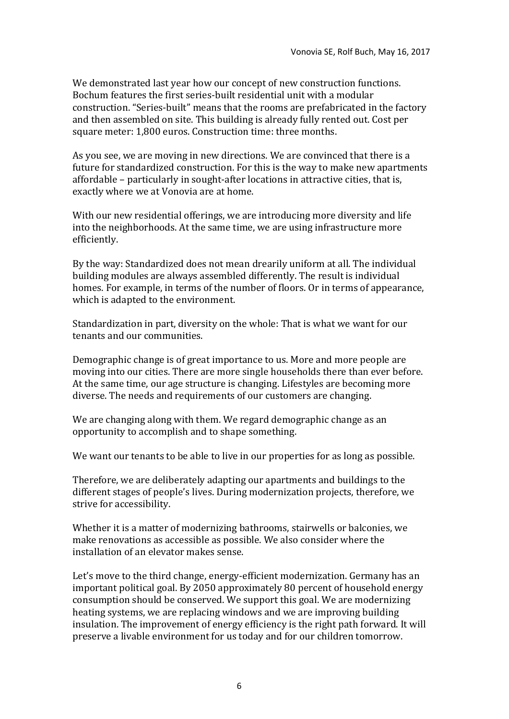We demonstrated last year how our concept of new construction functions. Bochum features the first series-built residential unit with a modular construction. "Series-built" means that the rooms are prefabricated in the factory and then assembled on site. This building is already fully rented out. Cost per square meter: 1,800 euros. Construction time: three months.

As you see, we are moving in new directions. We are convinced that there is a future for standardized construction. For this is the way to make new apartments affordable – particularly in sought-after locations in attractive cities, that is, exactly where we at Vonovia are at home.

With our new residential offerings, we are introducing more diversity and life into the neighborhoods. At the same time, we are using infrastructure more efficiently.

By the way: Standardized does not mean drearily uniform at all. The individual building modules are always assembled differently. The result is individual homes. For example, in terms of the number of floors. Or in terms of appearance, which is adapted to the environment.

Standardization in part, diversity on the whole: That is what we want for our tenants and our communities.

Demographic change is of great importance to us. More and more people are moving into our cities. There are more single households there than ever before. At the same time, our age structure is changing. Lifestyles are becoming more diverse. The needs and requirements of our customers are changing.

We are changing along with them. We regard demographic change as an opportunity to accomplish and to shape something.

We want our tenants to be able to live in our properties for as long as possible.

Therefore, we are deliberately adapting our apartments and buildings to the different stages of people's lives. During modernization projects, therefore, we strive for accessibility.

Whether it is a matter of modernizing bathrooms, stairwells or balconies, we make renovations as accessible as possible. We also consider where the installation of an elevator makes sense.

Let's move to the third change, energy-efficient modernization. Germany has an important political goal. By 2050 approximately 80 percent of household energy consumption should be conserved. We support this goal. We are modernizing heating systems, we are replacing windows and we are improving building insulation. The improvement of energy efficiency is the right path forward. It will preserve a livable environment for us today and for our children tomorrow.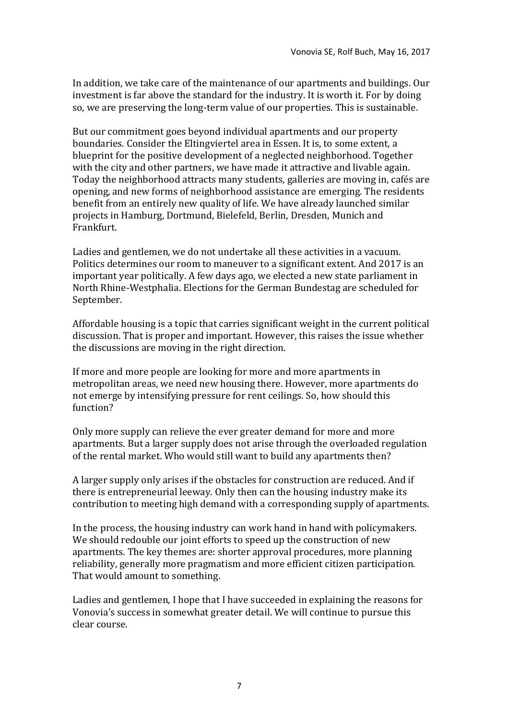In addition, we take care of the maintenance of our apartments and buildings. Our investment is far above the standard for the industry. It is worth it. For by doing so, we are preserving the long-term value of our properties. This is sustainable.

But our commitment goes beyond individual apartments and our property boundaries. Consider the Eltingviertel area in Essen. It is, to some extent, a blueprint for the positive development of a neglected neighborhood. Together with the city and other partners, we have made it attractive and livable again. Today the neighborhood attracts many students, galleries are moving in, cafés are opening, and new forms of neighborhood assistance are emerging. The residents benefit from an entirely new quality of life. We have already launched similar projects in Hamburg, Dortmund, Bielefeld, Berlin, Dresden, Munich and Frankfurt.

Ladies and gentlemen, we do not undertake all these activities in a vacuum. Politics determines our room to maneuver to a significant extent. And 2017 is an important year politically. A few days ago, we elected a new state parliament in North Rhine-Westphalia. Elections for the German Bundestag are scheduled for September.

Affordable housing is a topic that carries significant weight in the current political discussion. That is proper and important. However, this raises the issue whether the discussions are moving in the right direction.

If more and more people are looking for more and more apartments in metropolitan areas, we need new housing there. However, more apartments do not emerge by intensifying pressure for rent ceilings. So, how should this function?

Only more supply can relieve the ever greater demand for more and more apartments. But a larger supply does not arise through the overloaded regulation of the rental market. Who would still want to build any apartments then?

A larger supply only arises if the obstacles for construction are reduced. And if there is entrepreneurial leeway. Only then can the housing industry make its contribution to meeting high demand with a corresponding supply of apartments.

In the process, the housing industry can work hand in hand with policymakers. We should redouble our joint efforts to speed up the construction of new apartments. The key themes are: shorter approval procedures, more planning reliability, generally more pragmatism and more efficient citizen participation. That would amount to something.

Ladies and gentlemen, I hope that I have succeeded in explaining the reasons for Vonovia's success in somewhat greater detail. We will continue to pursue this clear course.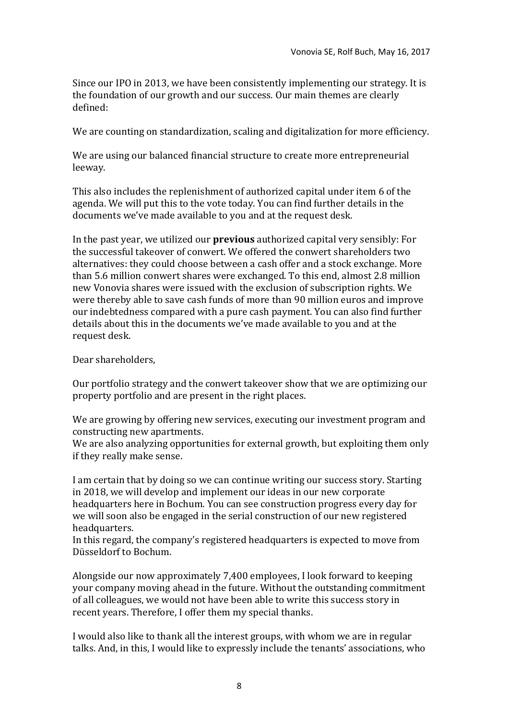Since our IPO in 2013, we have been consistently implementing our strategy. It is the foundation of our growth and our success. Our main themes are clearly defined:

We are counting on standardization, scaling and digitalization for more efficiency.

We are using our balanced financial structure to create more entrepreneurial leeway.

This also includes the replenishment of authorized capital under item 6 of the agenda. We will put this to the vote today. You can find further details in the documents we've made available to you and at the request desk.

In the past year, we utilized our **previous** authorized capital very sensibly: For the successful takeover of conwert. We offered the conwert shareholders two alternatives: they could choose between a cash offer and a stock exchange. More than 5.6 million conwert shares were exchanged. To this end, almost 2.8 million new Vonovia shares were issued with the exclusion of subscription rights. We were thereby able to save cash funds of more than 90 million euros and improve our indebtedness compared with a pure cash payment. You can also find further details about this in the documents we've made available to you and at the request desk.

Dear shareholders,

Our portfolio strategy and the conwert takeover show that we are optimizing our property portfolio and are present in the right places.

We are growing by offering new services, executing our investment program and constructing new apartments.

We are also analyzing opportunities for external growth, but exploiting them only if they really make sense.

I am certain that by doing so we can continue writing our success story. Starting in 2018, we will develop and implement our ideas in our new corporate headquarters here in Bochum. You can see construction progress every day for we will soon also be engaged in the serial construction of our new registered headquarters.

In this regard, the company's registered headquarters is expected to move from Düsseldorf to Bochum.

Alongside our now approximately 7,400 employees, I look forward to keeping your company moving ahead in the future. Without the outstanding commitment of all colleagues, we would not have been able to write this success story in recent years. Therefore, I offer them my special thanks.

I would also like to thank all the interest groups, with whom we are in regular talks. And, in this, I would like to expressly include the tenants' associations, who